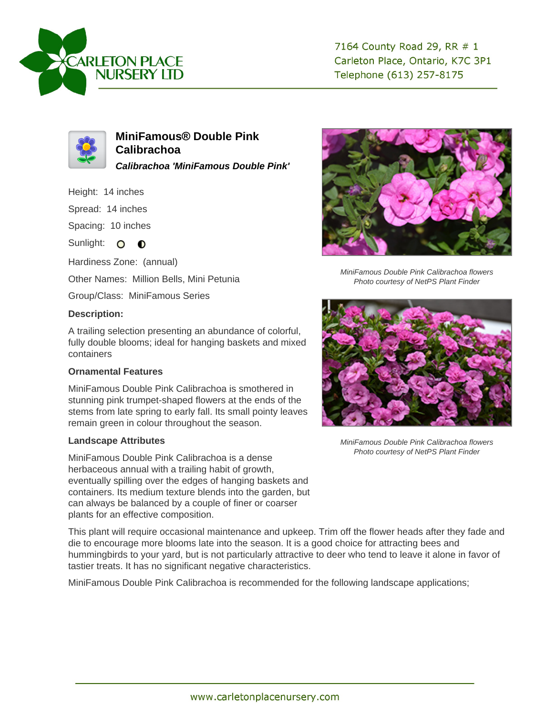



**MiniFamous® Double Pink Calibrachoa Calibrachoa 'MiniFamous Double Pink'**

Height: 14 inches

Spread: 14 inches

Spacing: 10 inches

Sunlight: O **O** 

Hardiness Zone: (annual)

Other Names: Million Bells, Mini Petunia

Group/Class: MiniFamous Series

## **Description:**

A trailing selection presenting an abundance of colorful, fully double blooms; ideal for hanging baskets and mixed containers

## **Ornamental Features**

MiniFamous Double Pink Calibrachoa is smothered in stunning pink trumpet-shaped flowers at the ends of the stems from late spring to early fall. Its small pointy leaves remain green in colour throughout the season.

## **Landscape Attributes**

MiniFamous Double Pink Calibrachoa is a dense herbaceous annual with a trailing habit of growth, eventually spilling over the edges of hanging baskets and containers. Its medium texture blends into the garden, but can always be balanced by a couple of finer or coarser plants for an effective composition.

This plant will require occasional maintenance and upkeep. Trim off the flower heads after they fade and die to encourage more blooms late into the season. It is a good choice for attracting bees and hummingbirds to your yard, but is not particularly attractive to deer who tend to leave it alone in favor of tastier treats. It has no significant negative characteristics.

MiniFamous Double Pink Calibrachoa is recommended for the following landscape applications;



MiniFamous Double Pink Calibrachoa flowers Photo courtesy of NetPS Plant Finder



MiniFamous Double Pink Calibrachoa flowers Photo courtesy of NetPS Plant Finder